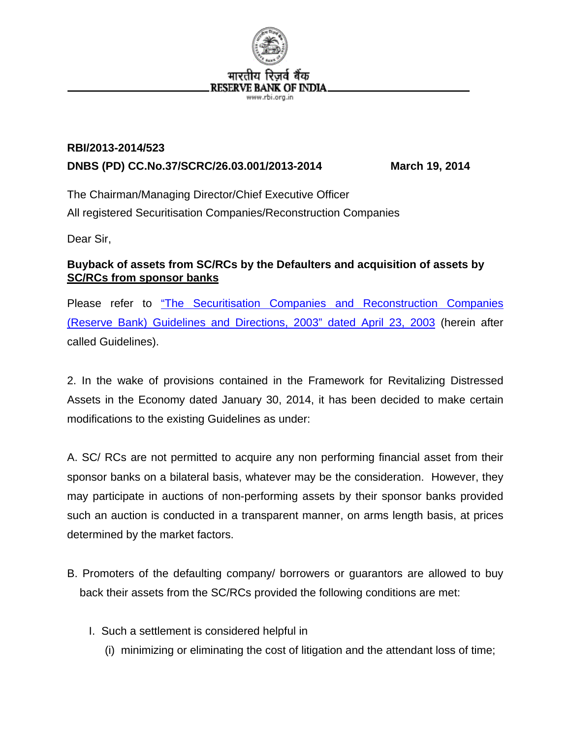

## **RBI/2013-2014/523 DNBS (PD) CC.No.37/SCRC/26.03.001/2013-2014 March 19, 2014**

The Chairman/Managing Director/Chief Executive Officer All registered Securitisation Companies/Reconstruction Companies

Dear Sir,

## **Buyback of assets from SC/RCs by the Defaulters and acquisition of assets by SC/RCs from sponsor banks**

Please refer to ["The Securitisation Companies and Reconstruction Companies](http://rbi.org.in/scripts/NotificationUser.aspx?Id=1145&Mode=0)  [\(Reserve Bank\) Guidelines and Directions, 2003" dated April 23, 2003](http://rbi.org.in/scripts/NotificationUser.aspx?Id=1145&Mode=0) (herein after called Guidelines).

2. In the wake of provisions contained in the Framework for Revitalizing Distressed Assets in the Economy dated January 30, 2014, it has been decided to make certain modifications to the existing Guidelines as under:

A. SC/ RCs are not permitted to acquire any non performing financial asset from their sponsor banks on a bilateral basis, whatever may be the consideration. However, they may participate in auctions of non-performing assets by their sponsor banks provided such an auction is conducted in a transparent manner, on arms length basis, at prices determined by the market factors.

- B. Promoters of the defaulting company/ borrowers or guarantors are allowed to buy back their assets from the SC/RCs provided the following conditions are met:
	- I. Such a settlement is considered helpful in
		- (i) minimizing or eliminating the cost of litigation and the attendant loss of time;